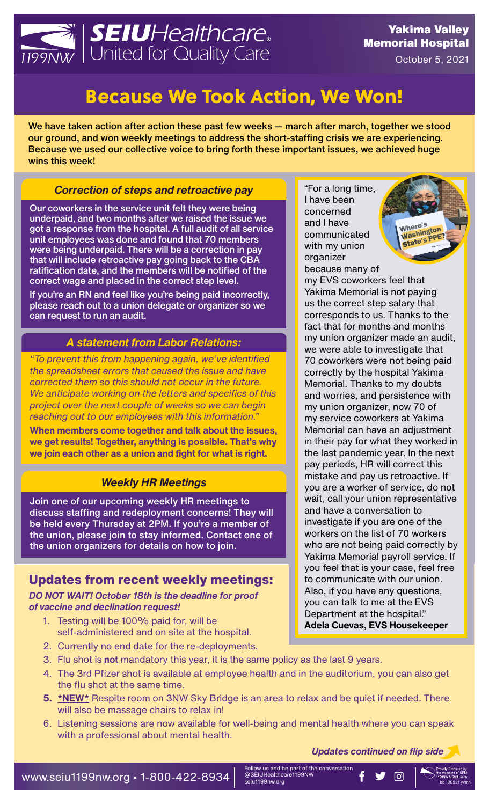

# Because We Took Action, We Won!

We have taken action after action these past few weeks — march after march, together we stood our ground, and won weekly meetings to address the short-staffing crisis we are experiencing. Because we used our collective voice to bring forth these important issues, we achieved huge wins this week!

#### *Correction of steps and retroactive pay*

Our coworkers in the service unit felt they were being underpaid, and two months after we raised the issue we got a response from the hospital. A full audit of all service unit employees was done and found that 70 members were being underpaid. There will be a correction in pay that will include retroactive pay going back to the CBA ratification date, and the members will be notified of the correct wage and placed in the correct step level.

If you're an RN and feel like you're being paid incorrectly, please reach out to a union delegate or organizer so we can request to run an audit.

#### *A statement from Labor Relations:*

*"To prevent this from happening again, we've identified the spreadsheet errors that caused the issue and have corrected them so this should not occur in the future. We anticipate working on the letters and specifics of this project over the next couple of weeks so we can begin reaching out to our employees with this information."* 

**When members come together and talk about the issues, we get results! Together, anything is possible. That's why we join each other as a union and fight for what is right.** 

### *Weekly HR Meetings*

Join one of our upcoming weekly HR meetings to discuss staffing and redeployment concerns! They will be held every Thursday at 2PM. If you're a member of the union, please join to stay informed. Contact one of the union organizers for details on how to join.

## **Updates from recent weekly meetings:**

*DO NOT WAIT! October 18th is the deadline for proof of vaccine and declination request!* 

- 1. Testing will be 100% paid for, will be self-administered and on site at the hospital.
- 2. Currently no end date for the re-deployments.
- 3. Flu shot is **not** mandatory this year, it is the same policy as the last 9 years.
- 4. The 3rd Pfizer shot is available at employee health and in the auditorium, you can also get the flu shot at the same time.
- **5. \*NEW\*** Respite room on 3NW Sky Bridge is an area to relax and be quiet if needed. There will also be massage chairs to relax in!
- 6. Listening sessions are now available for well-being and mental health where you can speak with a professional about mental health.

*Updates continued on flip side*

"For a long time, I have been concerned and I have communicated with my union organizer because many of



my EVS coworkers feel that Yakima Memorial is not paying us the correct step salary that corresponds to us. Thanks to the fact that for months and months my union organizer made an audit, we were able to investigate that 70 coworkers were not being paid correctly by the hospital Yakima Memorial. Thanks to my doubts and worries, and persistence with my union organizer, now 70 of my service coworkers at Yakima Memorial can have an adjustment in their pay for what they worked in the last pandemic year. In the next pay periods, HR will correct this mistake and pay us retroactive. If you are a worker of service, do not wait, call your union representative and have a conversation to investigate if you are one of the workers on the list of 70 workers who are not being paid correctly by Yakima Memorial payroll service. If you feel that is your case, feel free to communicate with our union. Also, if you have any questions, you can talk to me at the EVS Department at the hospital." **Adela Cuevas, EVS Housekeeper**

Follow us and be part of the conversation @SEIUHealthcare1199NW seiu1199nw.org